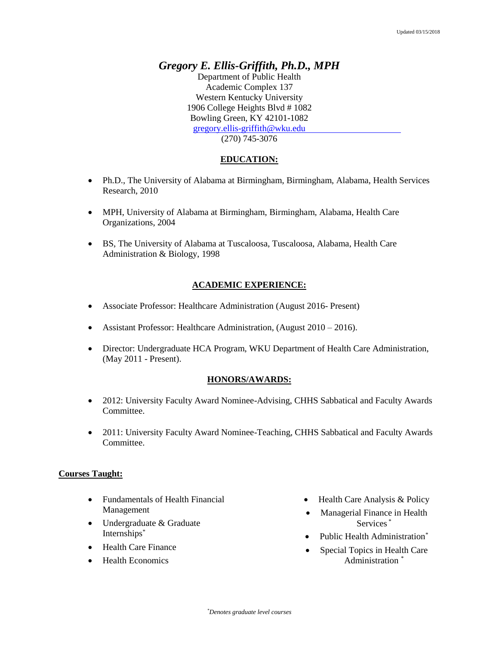# *Gregory E. Ellis-Griffith, Ph.D., MPH*

Department of Public Health Academic Complex 137 Western Kentucky University 1906 College Heights Blvd # 1082 Bowling Green, KY 42101-1082 [gregory.ellis-griffith@wku.edu](mailto:gregory.ellis-griffith@wku.edu) (270) 745-3076

## **EDUCATION:**

- Ph.D., The University of Alabama at Birmingham, Birmingham, Alabama, Health Services Research, 2010
- MPH, University of Alabama at Birmingham, Birmingham, Alabama, Health Care Organizations, 2004
- BS, The University of Alabama at Tuscaloosa, Tuscaloosa, Alabama, Health Care Administration & Biology, 1998

#### **ACADEMIC EXPERIENCE:**

- Associate Professor: Healthcare Administration (August 2016- Present)
- Assistant Professor: Healthcare Administration, (August 2010 2016).
- Director: Undergraduate HCA Program, WKU Department of Health Care Administration, (May 2011 - Present).

#### **HONORS/AWARDS:**

- 2012: University Faculty Award Nominee-Advising, CHHS Sabbatical and Faculty Awards Committee.
- 2011: University Faculty Award Nominee-Teaching, CHHS Sabbatical and Faculty Awards Committee.

#### **Courses Taught:**

- Fundamentals of Health Financial Management
- Undergraduate & Graduate Internships\*
- Health Care Finance
- Health Economics
- Health Care Analysis & Policy
- Managerial Finance in Health Services \*
- Public Health Administration<sup>\*</sup>
- Special Topics in Health Care Administration \*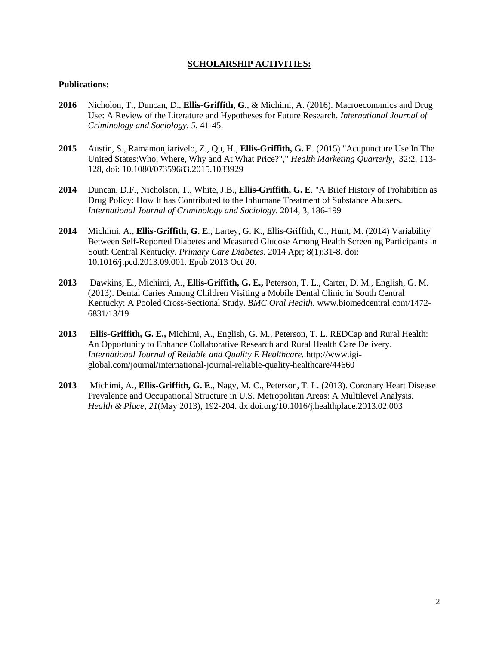## **SCHOLARSHIP ACTIVITIES:**

#### **Publications:**

- **2016** Nicholon, T., Duncan, D., **Ellis-Griffith, G**., & Michimi, A. (2016). Macroeconomics and Drug Use: A Review of the Literature and Hypotheses for Future Research. *International Journal of Criminology and Sociology*, *5*, 41-45.
- **2015** Austin, S., Ramamonjiarivelo, Z., Qu, H., **Ellis-Griffith, G. E**. (2015) "Acupuncture Use In The United States:Who, Where, Why and At What Price?"," *Health Marketing Quarterly*, 32:2, 113- 128, doi: 10.1080/07359683.2015.1033929
- **2014** Duncan, D.F., Nicholson, T., White, J.B., **Ellis-Griffith, G. E**. "A Brief History of Prohibition as Drug Policy: How It has Contributed to the Inhumane Treatment of Substance Abusers. *International Journal of Criminology and Sociology*. 2014, 3, 186-199
- **2014** Michimi, A., **Ellis-Griffith, G. E.**, Lartey, G. K., Ellis-Griffith, C., Hunt, M. (2014) Variability Between Self-Reported Diabetes and Measured Glucose Among Health Screening Participants in South Central Kentucky. *Primary Care Diabetes*. 2014 Apr; 8(1):31-8. doi: 10.1016/j.pcd.2013.09.001. Epub 2013 Oct 20.
- **2013** Dawkins, E., Michimi, A., **Ellis-Griffith, G. E.,** Peterson, T. L., Carter, D. M., English, G. M. (2013). Dental Caries Among Children Visiting a Mobile Dental Clinic in South Central Kentucky: A Pooled Cross-Sectional Study. *BMC Oral Health*. www.biomedcentral.com/1472- 6831/13/19
- **2013 Ellis-Griffith, G. E.,** Michimi, A., English, G. M., Peterson, T. L. REDCap and Rural Health: An Opportunity to Enhance Collaborative Research and Rural Health Care Delivery. *International Journal of Reliable and Quality E Healthcare.* http://www.igiglobal.com/journal/international-journal-reliable-quality-healthcare/44660
- **2013** Michimi, A., **Ellis-Griffith, G. E**., Nagy, M. C., Peterson, T. L. (2013). Coronary Heart Disease Prevalence and Occupational Structure in U.S. Metropolitan Areas: A Multilevel Analysis. *Health & Place, 21*(May 2013), 192-204. dx.doi.org/10.1016/j.healthplace.2013.02.003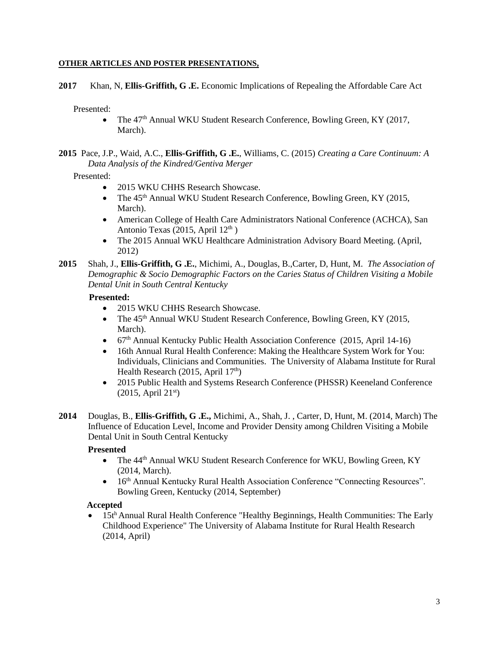## **OTHER ARTICLES AND POSTER PRESENTATIONS,**

**2017** Khan, N, **Ellis-Griffith, G .E.** Economic Implications of Repealing the Affordable Care Act

Presented:

- The 47<sup>th</sup> Annual WKU Student Research Conference, Bowling Green, KY (2017, March).
- **2015** Pace, J.P., Waid, A.C., **Ellis-Griffith, G .E.**, Williams, C. (2015) *Creating a Care Continuum: A Data Analysis of the Kindred/Gentiva Merger*

## Presented:

- 2015 WKU CHHS Research Showcase.
- The 45<sup>th</sup> Annual WKU Student Research Conference, Bowling Green, KY (2015, March).
- American College of Health Care Administrators National Conference (ACHCA), San Antonio Texas (2015, April  $12<sup>th</sup>$ )
- The 2015 Annual WKU Healthcare Administration Advisory Board Meeting. (April, 2012)
- **2015** Shah, J., **Ellis-Griffith, G .E.**, Michimi, A., Douglas, B.,Carter, D, Hunt, M. *The Association of Demographic & Socio Demographic Factors on the Caries Status of Children Visiting a Mobile Dental Unit in South Central Kentucky*

## **Presented:**

- 2015 WKU CHHS Research Showcase.
- The 45<sup>th</sup> Annual WKU Student Research Conference, Bowling Green, KY (2015, March).
- 67<sup>th</sup> Annual Kentucky Public Health Association Conference (2015, April 14-16)
- 16th Annual Rural Health Conference: Making the Healthcare System Work for You: Individuals, Clinicians and Communities. The University of Alabama Institute for Rural Health Research (2015, April  $17<sup>th</sup>$ )
- 2015 Public Health and Systems Research Conference (PHSSR) Keeneland Conference  $(2015, April 21<sup>st</sup>)$
- **2014** Douglas, B., **Ellis-Griffith, G .E.,** Michimi, A., Shah, J. , Carter, D, Hunt, M. (2014, March) The Influence of Education Level, Income and Provider Density among Children Visiting a Mobile Dental Unit in South Central Kentucky

# **Presented**

- The 44<sup>th</sup> Annual WKU Student Research Conference for WKU, Bowling Green, KY (2014, March).
- 16<sup>th</sup> Annual Kentucky Rural Health Association Conference "Connecting Resources". Bowling Green, Kentucky (2014, September)

## **Accepted**

 15t<sup>h</sup> Annual Rural Health Conference "Healthy Beginnings, Health Communities: The Early Childhood Experience" The University of Alabama Institute for Rural Health Research (2014, April)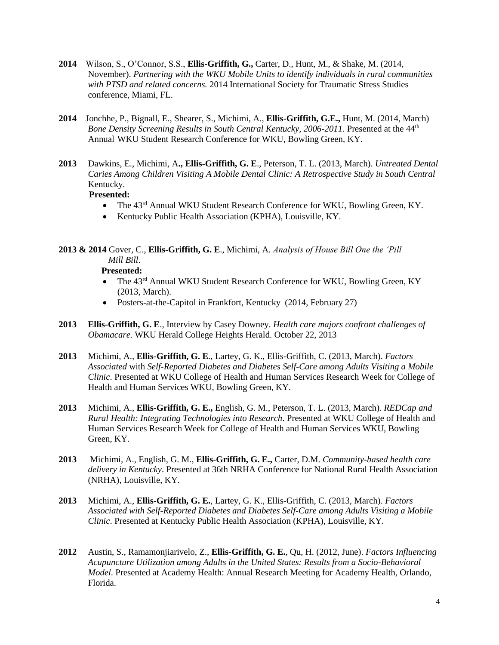- **2014** Wilson, S., O'Connor, S.S., **Ellis-Griffith, G.,** Carter, D., Hunt, M., & Shake, M. (2014, November). *Partnering with the WKU Mobile Units to identify individuals in rural communities with PTSD and related concerns.* 2014 International Society for Traumatic Stress Studies conference, Miami, FL.
- **2014** Jonchhe, P., Bignall, E., Shearer, S., Michimi, A., **Ellis-Griffith, G.E.,** Hunt, M. (2014, March) *Bone Density Screening Results in South Central Kentucky, 2006-2011.* Presented at the 44<sup>th</sup> Annual WKU Student Research Conference for WKU, Bowling Green, KY.
- **2013** Dawkins, E., Michimi, A**., Ellis-Griffith, G. E**., Peterson, T. L. (2013, March). *Untreated Dental Caries Among Children Visiting A Mobile Dental Clinic: A Retrospective Study in South Central* Kentucky.

## **Presented:**

- The 43<sup>rd</sup> Annual WKU Student Research Conference for WKU, Bowling Green, KY.
- Kentucky Public Health Association (KPHA), Louisville, KY.

**2013 & 2014** Gover, C., **Ellis-Griffith, G. E**., Michimi, A. *Analysis of House Bill One the 'Pill Mill Bill*.

#### **Presented:**

- The 43<sup>rd</sup> Annual WKU Student Research Conference for WKU, Bowling Green, KY (2013, March).
- Posters-at-the-Capitol in Frankfort, Kentucky (2014, February 27)
- **2013 Ellis-Griffith, G. E**., Interview by Casey Downey. *Health care majors confront challenges of Obamacare.* WKU Herald College Heights Herald. October 22, 2013
- **2013** Michimi, A., **Ellis-Griffith, G. E**., Lartey, G. K., Ellis-Griffith, C. (2013, March). *Factors Associated* with *Self-Reported Diabetes and Diabetes Self-Care among Adults Visiting a Mobile Clinic*. Presented at WKU College of Health and Human Services Research Week for College of Health and Human Services WKU, Bowling Green, KY.
- **2013** Michimi, A., **Ellis-Griffith, G. E.,** English, G. M., Peterson, T. L. (2013, March). *REDCap and Rural Health: Integrating Technologies into Research*. Presented at WKU College of Health and Human Services Research Week for College of Health and Human Services WKU, Bowling Green, KY.
- **2013** Michimi, A., English, G. M., **Ellis-Griffith, G. E.,** Carter, D.M. *Community-based health care delivery in Kentucky*. Presented at 36th NRHA Conference for National Rural Health Association (NRHA), Louisville, KY.
- **2013** Michimi, A., **Ellis-Griffith, G. E.**, Lartey, G. K., Ellis-Griffith, C. (2013, March). *Factors Associated with Self-Reported Diabetes and Diabetes Self-Care among Adults Visiting a Mobile Clinic*. Presented at Kentucky Public Health Association (KPHA), Louisville, KY.
- **2012** Austin, S., Ramamonjiarivelo, Z., **Ellis-Griffith, G. E.**, Qu, H. (2012, June). *Factors Influencing Acupuncture Utilization among Adults in the United States: Results from a Socio-Behavioral Model*. Presented at Academy Health: Annual Research Meeting for Academy Health, Orlando, Florida.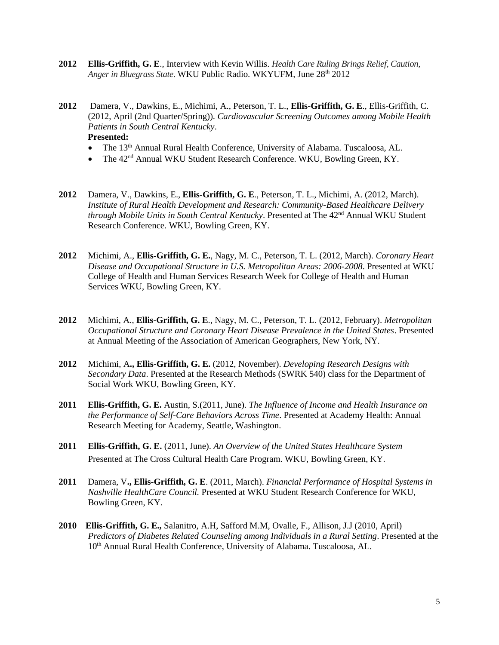- **2012 Ellis-Griffith, G. E**., Interview with Kevin Willis. *Health Care Ruling Brings Relief, Caution, Anger in Bluegrass State*. WKU Public Radio. WKYUFM, June 28th 2012
- **2012** Damera, V., Dawkins, E., Michimi, A., Peterson, T. L., **Ellis-Griffith, G. E**., Ellis-Griffith, C. (2012, April (2nd Quarter/Spring)). *Cardiovascular Screening Outcomes among Mobile Health Patients in South Central Kentucky*. **Presented:** 
	- The 13<sup>th</sup> Annual Rural Health Conference, University of Alabama. Tuscaloosa, AL.
	- The  $42<sup>nd</sup>$  Annual WKU Student Research Conference. WKU, Bowling Green, KY.
- **2012** Damera, V., Dawkins, E., **Ellis-Griffith, G. E**., Peterson, T. L., Michimi, A. (2012, March). *Institute of Rural Health Development and Research: Community-Based Healthcare Delivery through Mobile Units in South Central Kentucky*. Presented at The 42nd Annual WKU Student Research Conference. WKU, Bowling Green, KY.
- **2012** Michimi, A., **Ellis-Griffith, G. E.**, Nagy, M. C., Peterson, T. L. (2012, March). *Coronary Heart Disease and Occupational Structure in U.S. Metropolitan Areas: 2006-2008*. Presented at WKU College of Health and Human Services Research Week for College of Health and Human Services WKU, Bowling Green, KY.
- **2012** Michimi, A., **Ellis-Griffith, G. E**., Nagy, M. C., Peterson, T. L. (2012, February). *Metropolitan Occupational Structure and Coronary Heart Disease Prevalence in the United States*. Presented at Annual Meeting of the Association of American Geographers, New York, NY.
- **2012** Michimi, A**., Ellis-Griffith, G. E.** (2012, November). *Developing Research Designs with Secondary Data*. Presented at the Research Methods (SWRK 540) class for the Department of Social Work WKU, Bowling Green, KY.
- **2011 Ellis-Griffith, G. E.** Austin, S.(2011, June). *The Influence of Income and Health Insurance on the Performance of Self-Care Behaviors Across Time*. Presented at Academy Health: Annual Research Meeting for Academy, Seattle, Washington.
- **2011 Ellis-Griffith, G. E.** (2011, June). *An Overview of the United States Healthcare System*  Presented at The Cross Cultural Health Care Program. WKU, Bowling Green, KY.
- **2011** Damera, V**., Ellis-Griffith, G. E**. (2011, March). *Financial Performance of Hospital Systems in Nashville HealthCare Council.* Presented at WKU Student Research Conference for WKU, Bowling Green, KY.
- **2010 Ellis-Griffith, G. E.,** Salanitro, A.H, Safford M.M, Ovalle, F., Allison, J.J (2010, April) *Predictors of Diabetes Related Counseling among Individuals in a Rural Setting*. Presented at the 10<sup>th</sup> Annual Rural Health Conference, University of Alabama. Tuscaloosa, AL.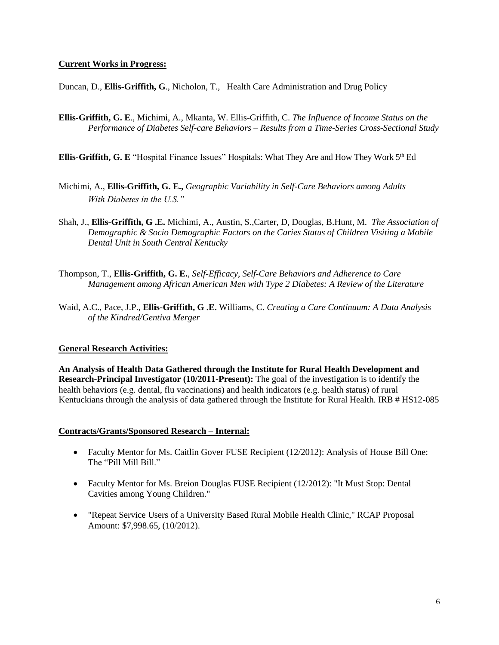## **Current Works in Progress:**

Duncan, D., **Ellis-Griffith, G**., Nicholon, T., Health Care Administration and Drug Policy

- **Ellis-Griffith, G. E**., Michimi, A., Mkanta, W. Ellis-Griffith, C. *The Influence of Income Status on the Performance of Diabetes Self-care Behaviors – Results from a Time-Series Cross-Sectional Study*
- **Ellis-Griffith, G. E** "Hospital Finance Issues" Hospitals: What They Are and How They Work 5<sup>th</sup> Ed
- Michimi, A., **Ellis-Griffith, G. E.,** *Geographic Variability in Self-Care Behaviors among Adults With Diabetes in the U.S."*
- Shah, J., **Ellis-Griffith, G .E.** Michimi, A., Austin, S.,Carter, D, Douglas, B.Hunt, M. *The Association of Demographic & Socio Demographic Factors on the Caries Status of Children Visiting a Mobile Dental Unit in South Central Kentucky*
- Thompson, T., **Ellis-Griffith, G. E.**, *Self-Efficacy, Self-Care Behaviors and Adherence to Care Management among African American Men with Type 2 Diabetes: A Review of the Literature*
- Waid, A.C., Pace, J.P., **Ellis-Griffith, G .E.** Williams, C. *Creating a Care Continuum: A Data Analysis of the Kindred/Gentiva Merger*

# **General Research Activities:**

**An Analysis of Health Data Gathered through the Institute for Rural Health Development and Research-Principal Investigator (10/2011-Present):** The goal of the investigation is to identify the health behaviors (e.g. dental, flu vaccinations) and health indicators (e.g. health status) of rural Kentuckians through the analysis of data gathered through the Institute for Rural Health. IRB # HS12-085

## **Contracts/Grants/Sponsored Research – Internal:**

- Faculty Mentor for Ms. Caitlin Gover FUSE Recipient (12/2012): Analysis of House Bill One: The "Pill Mill Bill."
- Faculty Mentor for Ms. Breion Douglas FUSE Recipient (12/2012): "It Must Stop: Dental Cavities among Young Children."
- "Repeat Service Users of a University Based Rural Mobile Health Clinic," RCAP Proposal Amount: \$7,998.65, (10/2012).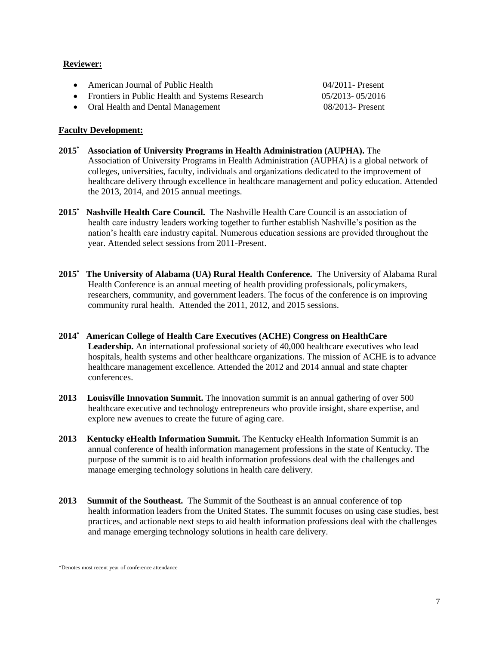#### **Reviewer:**

| • American Journal of Public Health               | $04/2011$ - Present |
|---------------------------------------------------|---------------------|
| • Frontiers in Public Health and Systems Research | 05/2013-05/2016     |
| • Oral Health and Dental Management               | 08/2013 - Present   |

#### **Faculty Development:**

- **2015\* Association of University Programs in Health Administration (AUPHA).** The Association of University Programs in Health Administration (AUPHA) is a global network of colleges, universities, faculty, individuals and organizations dedicated to the improvement of healthcare delivery through excellence in healthcare management and policy education. Attended the 2013, 2014, and 2015 annual meetings.
- **2015\* Nashville Health Care Council.** The Nashville Health Care Council is an association of health care industry leaders working together to further establish Nashville's position as the nation's health care industry capital. Numerous education sessions are provided throughout the year. Attended select sessions from 2011-Present.
- **2015\* The University of Alabama (UA) Rural Health Conference.** The University of Alabama Rural Health Conference is an annual meeting of health providing professionals, policymakers, researchers, community, and government leaders. The focus of the conference is on improving community rural health. Attended the 2011, 2012, and 2015 sessions.
- **2014\* American College of Health Care Executives (ACHE) Congress on HealthCare**  Leadership. An international professional society of 40,000 healthcare executives who lead hospitals, health systems and other healthcare organizations. The mission of ACHE is to advance healthcare management excellence. Attended the 2012 and 2014 annual and state chapter conferences.
- **2013 Louisville Innovation Summit.** The innovation summit is an annual gathering of over 500 healthcare executive and technology entrepreneurs who provide insight, share expertise, and explore new avenues to create the future of aging care.
- **2013 Kentucky eHealth Information Summit.** The Kentucky eHealth Information Summit is an annual conference of health information management professions in the state of Kentucky. The purpose of the summit is to aid health information professions deal with the challenges and manage emerging technology solutions in health care delivery.
- **2013 Summit of the Southeast.** The Summit of the Southeast is an annual conference of top health information leaders from the United States. The summit focuses on using case studies, best practices, and actionable next steps to aid health information professions deal with the challenges and manage emerging technology solutions in health care delivery.

<sup>\*</sup>Denotes most recent year of conference attendance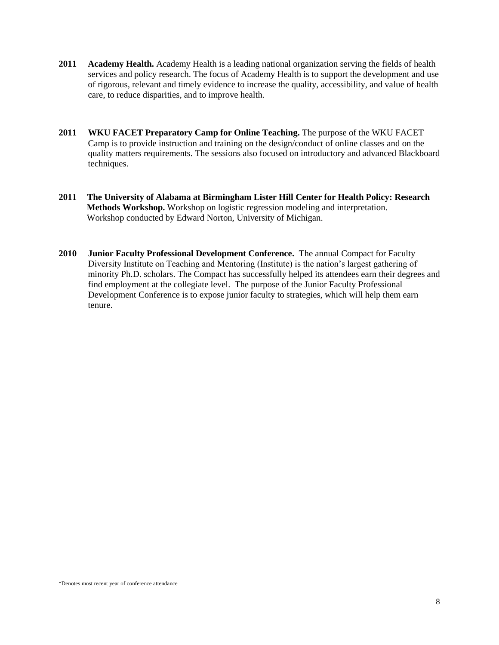- **2011 Academy Health.** Academy Health is a leading national organization serving the fields of health services and policy research. The focus of Academy Health is to support the development and use of rigorous, relevant and timely evidence to increase the quality, accessibility, and value of health care, to reduce disparities, and to improve health.
- **2011 WKU FACET Preparatory Camp for Online Teaching.** The purpose of the WKU FACET Camp is to provide instruction and training on the design/conduct of online classes and on the quality matters requirements. The sessions also focused on introductory and advanced Blackboard techniques.
- **2011 The University of Alabama at Birmingham Lister Hill Center for Health Policy: Research Methods Workshop.** Workshop on logistic regression modeling and interpretation. Workshop conducted by Edward Norton, University of Michigan.
- **2010 Junior Faculty Professional Development Conference.** The annual Compact for Faculty Diversity Institute on Teaching and Mentoring (Institute) is the nation's largest gathering of minority Ph.D. scholars. The Compact has successfully helped its attendees earn their degrees and find employment at the collegiate level. The purpose of the Junior Faculty Professional Development Conference is to expose junior faculty to strategies, which will help them earn tenure.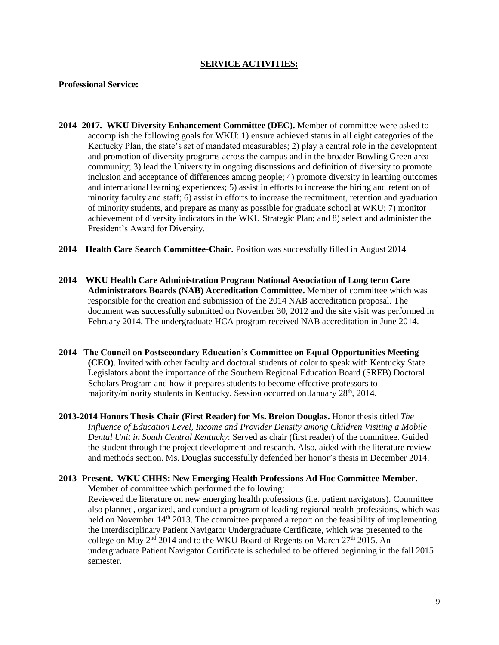#### **SERVICE ACTIVITIES:**

#### **Professional Service:**

- **2014- 2017. WKU Diversity Enhancement Committee (DEC).** Member of committee were asked to accomplish the following goals for WKU: 1) ensure achieved status in all eight categories of the Kentucky Plan, the state's set of mandated measurables; 2) play a central role in the development and promotion of diversity programs across the campus and in the broader Bowling Green area community; 3) lead the University in ongoing discussions and definition of diversity to promote inclusion and acceptance of differences among people; 4) promote diversity in learning outcomes and international learning experiences; 5) assist in efforts to increase the hiring and retention of minority faculty and staff; 6) assist in efforts to increase the recruitment, retention and graduation of minority students, and prepare as many as possible for graduate school at WKU; 7) monitor achievement of diversity indicators in the WKU Strategic Plan; and 8) select and administer the President's Award for Diversity.
- **2014 Health Care Search Committee-Chair.** Position was successfully filled in August 2014
- **2014 WKU Health Care Administration Program National Association of Long term Care Administrators Boards (NAB) Accreditation Committee.** Member of committee which was responsible for the creation and submission of the 2014 NAB accreditation proposal. The document was successfully submitted on November 30, 2012 and the site visit was performed in February 2014. The undergraduate HCA program received NAB accreditation in June 2014.
- **2014 The Council on Postsecondary Education's Committee on Equal Opportunities Meeting (CEO)**. Invited with other faculty and doctoral students of color to speak with Kentucky State Legislators about the importance of the Southern Regional Education Board (SREB) Doctoral Scholars Program and how it prepares students to become effective professors to majority/minority students in Kentucky. Session occurred on January  $28<sup>th</sup>$ , 2014.
- **2013-2014 Honors Thesis Chair (First Reader) for Ms. Breion Douglas.** Honor thesis titled *The Influence of Education Level, Income and Provider Density among Children Visiting a Mobile Dental Unit in South Central Kentucky*: Served as chair (first reader) of the committee. Guided the student through the project development and research. Also, aided with the literature review and methods section. Ms. Douglas successfully defended her honor's thesis in December 2014.

# **2013- Present. WKU CHHS: New Emerging Health Professions Ad Hoc Committee-Member.**

Member of committee which performed the following:

Reviewed the literature on new emerging health professions (i.e. patient navigators). Committee also planned, organized, and conduct a program of leading regional health professions, which was held on November 14<sup>th</sup> 2013. The committee prepared a report on the feasibility of implementing the Interdisciplinary Patient Navigator Undergraduate Certificate, which was presented to the college on May  $2<sup>nd</sup>$  2014 and to the WKU Board of Regents on March 27<sup>th</sup> 2015. An undergraduate Patient Navigator Certificate is scheduled to be offered beginning in the fall 2015 semester.